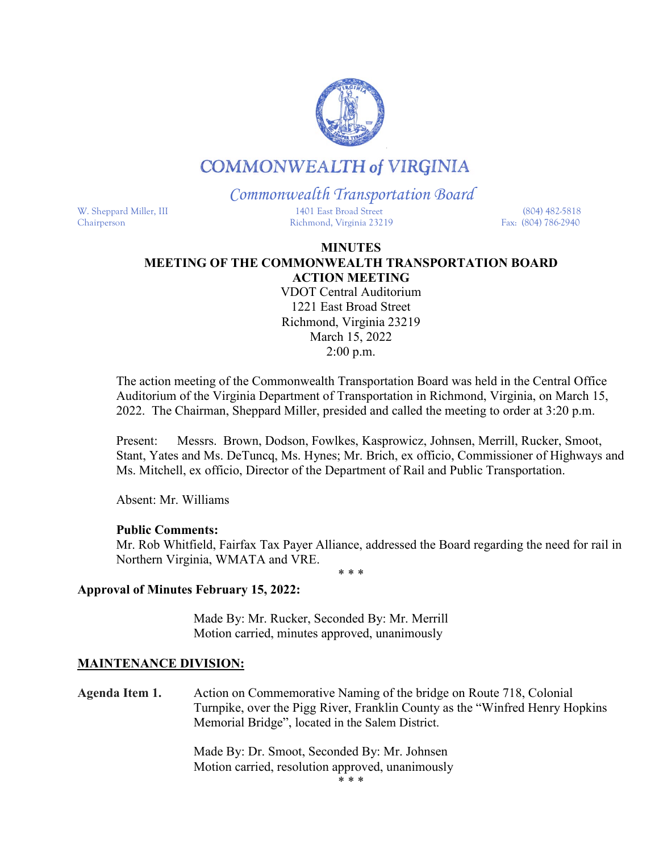

# **COMMONWEALTH of VIRGINIA**

*Commonwealth Transportation Board*

W. Sheppard Miller, III 1401 East Broad Street (804) 482-5818 Chairperson Richmond, Virginia 23219 Fax: (804) 786-2940

### **MINUTES MEETING OF THE COMMONWEALTH TRANSPORTATION BOARD ACTION MEETING**

VDOT Central Auditorium 1221 East Broad Street Richmond, Virginia 23219 March 15, 2022 2:00 p.m.

The action meeting of the Commonwealth Transportation Board was held in the Central Office Auditorium of the Virginia Department of Transportation in Richmond, Virginia, on March 15, 2022. The Chairman, Sheppard Miller, presided and called the meeting to order at 3:20 p.m.

Present: Messrs. Brown, Dodson, Fowlkes, Kasprowicz, Johnsen, Merrill, Rucker, Smoot, Stant, Yates and Ms. DeTuncq, Ms. Hynes; Mr. Brich, ex officio, Commissioner of Highways and Ms. Mitchell, ex officio, Director of the Department of Rail and Public Transportation.

Absent: Mr. Williams

### **Public Comments:**

Mr. Rob Whitfield, Fairfax Tax Payer Alliance, addressed the Board regarding the need for rail in Northern Virginia, WMATA and VRE.

\* \* \*

# **Approval of Minutes February 15, 2022:**

Made By: Mr. Rucker, Seconded By: Mr. Merrill Motion carried, minutes approved, unanimously

# **MAINTENANCE DIVISION:**

**Agenda Item 1.** Action on Commemorative Naming of the bridge on Route 718, Colonial Turnpike, over the Pigg River, Franklin County as the "Winfred Henry Hopkins Memorial Bridge", located in the Salem District.

> Made By: Dr. Smoot, Seconded By: Mr. Johnsen Motion carried, resolution approved, unanimously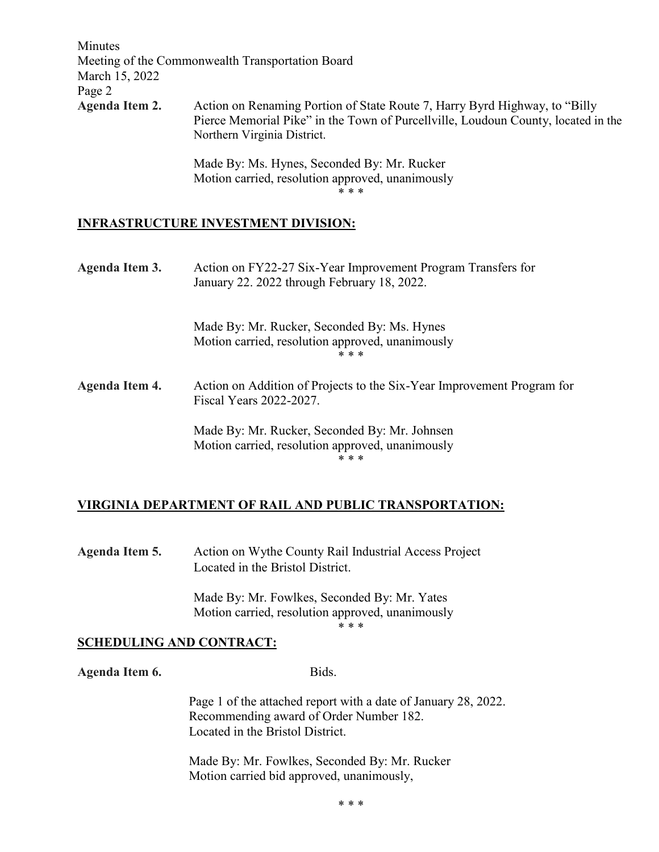| Minutes<br>March 15, 2022 | Meeting of the Commonwealth Transportation Board                                                                                                                                                |
|---------------------------|-------------------------------------------------------------------------------------------------------------------------------------------------------------------------------------------------|
| Page 2                    |                                                                                                                                                                                                 |
| Agenda Item 2.            | Action on Renaming Portion of State Route 7, Harry Byrd Highway, to "Billy"<br>Pierce Memorial Pike" in the Town of Purcellville, Loudoun County, located in the<br>Northern Virginia District. |
|                           | Made By: Ms. Hynes, Seconded By: Mr. Rucker<br>Motion carried, resolution approved, unanimously<br>* * *                                                                                        |

## **INFRASTRUCTURE INVESTMENT DIVISION:**

| Action on FY22-27 Six-Year Improvement Program Transfers for<br>January 22. 2022 through February 18, 2022. |
|-------------------------------------------------------------------------------------------------------------|
| Made By: Mr. Rucker, Seconded By: Ms. Hynes<br>Motion carried, resolution approved, unanimously<br>* * *    |
| Action on Addition of Projects to the Six-Year Improvement Program for<br>Fiscal Years 2022-2027.           |
| Made By: Mr. Rucker, Seconded By: Mr. Johnsen<br>Motion carried, resolution approved, unanimously<br>* * *  |
|                                                                                                             |

# **VIRGINIA DEPARTMENT OF RAIL AND PUBLIC TRANSPORTATION:**

**Agenda Item 5.** Action on Wythe County Rail Industrial Access Project Located in the Bristol District.

> Made By: Mr. Fowlkes, Seconded By: Mr. Yates Motion carried, resolution approved, unanimously

\* \* \*

#### **SCHEDULING AND CONTRACT:**

Agenda Item 6. Bids.

Page 1 of the attached report with a date of January 28, 2022. Recommending award of Order Number 182. Located in the Bristol District.

Made By: Mr. Fowlkes, Seconded By: Mr. Rucker Motion carried bid approved, unanimously,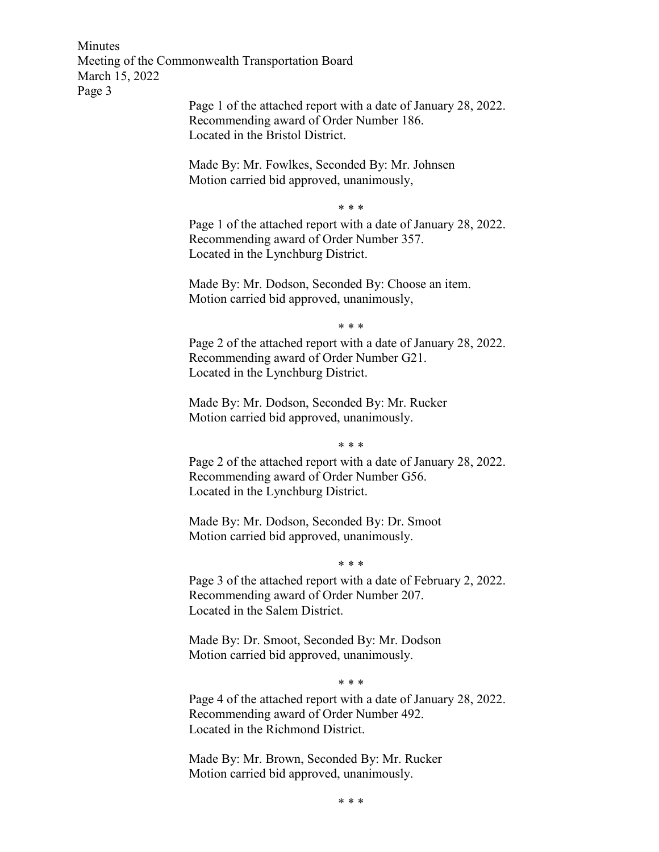Minutes Meeting of the Commonwealth Transportation Board March 15, 2022 Page 3

> Page 1 of the attached report with a date of January 28, 2022. Recommending award of Order Number 186. Located in the Bristol District.

Made By: Mr. Fowlkes, Seconded By: Mr. Johnsen Motion carried bid approved, unanimously,

\* \* \*

Page 1 of the attached report with a date of January 28, 2022. Recommending award of Order Number 357. Located in the Lynchburg District.

Made By: Mr. Dodson, Seconded By: Choose an item. Motion carried bid approved, unanimously,

\* \* \*

Page 2 of the attached report with a date of January 28, 2022. Recommending award of Order Number G21. Located in the Lynchburg District.

Made By: Mr. Dodson, Seconded By: Mr. Rucker Motion carried bid approved, unanimously.

\* \* \*

Page 2 of the attached report with a date of January 28, 2022. Recommending award of Order Number G56. Located in the Lynchburg District.

Made By: Mr. Dodson, Seconded By: Dr. Smoot Motion carried bid approved, unanimously.

\* \* \*

Page 3 of the attached report with a date of February 2, 2022. Recommending award of Order Number 207. Located in the Salem District.

Made By: Dr. Smoot, Seconded By: Mr. Dodson Motion carried bid approved, unanimously.

\* \* \*

Page 4 of the attached report with a date of January 28, 2022. Recommending award of Order Number 492. Located in the Richmond District.

Made By: Mr. Brown, Seconded By: Mr. Rucker Motion carried bid approved, unanimously.

\* \* \*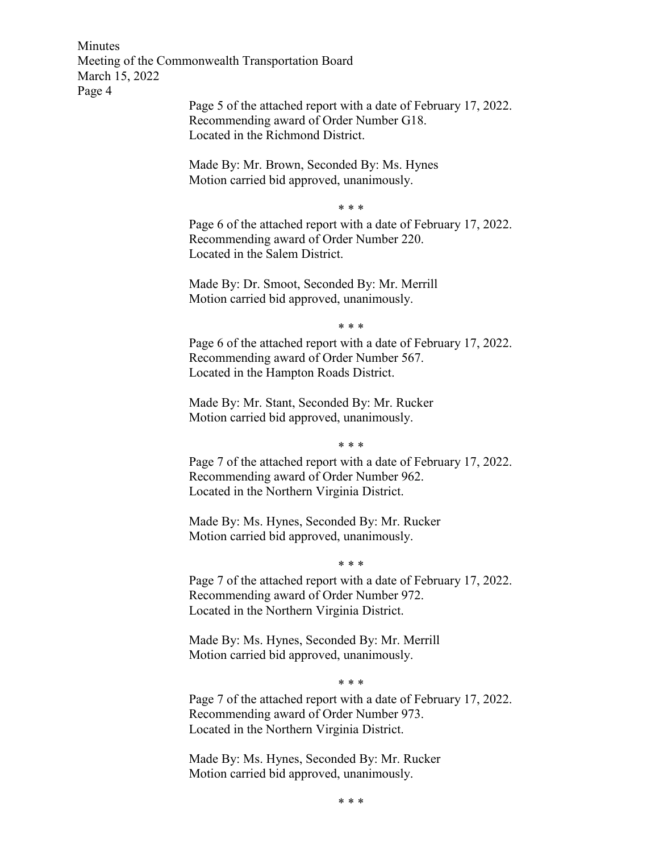Minutes Meeting of the Commonwealth Transportation Board March 15, 2022 Page 4

> Page 5 of the attached report with a date of February 17, 2022. Recommending award of Order Number G18. Located in the Richmond District.

Made By: Mr. Brown, Seconded By: Ms. Hynes Motion carried bid approved, unanimously.

\* \* \*

Page 6 of the attached report with a date of February 17, 2022. Recommending award of Order Number 220. Located in the Salem District.

Made By: Dr. Smoot, Seconded By: Mr. Merrill Motion carried bid approved, unanimously.

\* \* \*

Page 6 of the attached report with a date of February 17, 2022. Recommending award of Order Number 567. Located in the Hampton Roads District.

Made By: Mr. Stant, Seconded By: Mr. Rucker Motion carried bid approved, unanimously.

\* \* \*

Page 7 of the attached report with a date of February 17, 2022. Recommending award of Order Number 962. Located in the Northern Virginia District.

Made By: Ms. Hynes, Seconded By: Mr. Rucker Motion carried bid approved, unanimously.

\* \* \*

Page 7 of the attached report with a date of February 17, 2022. Recommending award of Order Number 972. Located in the Northern Virginia District.

Made By: Ms. Hynes, Seconded By: Mr. Merrill Motion carried bid approved, unanimously.

\* \* \*

Page 7 of the attached report with a date of February 17, 2022. Recommending award of Order Number 973. Located in the Northern Virginia District.

Made By: Ms. Hynes, Seconded By: Mr. Rucker Motion carried bid approved, unanimously.

\* \* \*